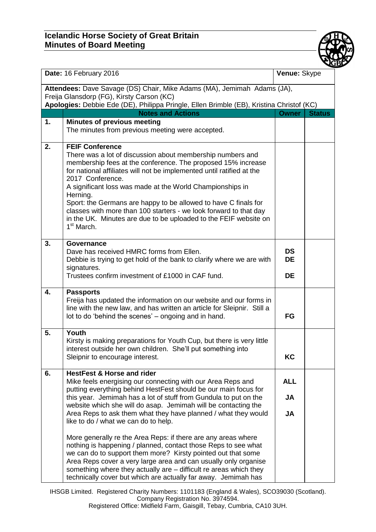## **Icelandic Horse Society of Great Britain Minutes of Board Meeting**



| Date: 16 February 2016                                                                                                                                                                                           |                                                                                                                                                                                                                                                                                                                                                                                                                                                                                                                                                        | Venue: Skype                         |               |  |  |
|------------------------------------------------------------------------------------------------------------------------------------------------------------------------------------------------------------------|--------------------------------------------------------------------------------------------------------------------------------------------------------------------------------------------------------------------------------------------------------------------------------------------------------------------------------------------------------------------------------------------------------------------------------------------------------------------------------------------------------------------------------------------------------|--------------------------------------|---------------|--|--|
| Attendees: Dave Savage (DS) Chair, Mike Adams (MA), Jemimah Adams (JA),<br>Freija Glansdorp (FG), Kirsty Carson (KC)<br>Apologies: Debbie Ede (DE), Philippa Pringle, Ellen Brimble (EB), Kristina Christof (KC) |                                                                                                                                                                                                                                                                                                                                                                                                                                                                                                                                                        |                                      |               |  |  |
|                                                                                                                                                                                                                  | <b>Notes and Actions</b>                                                                                                                                                                                                                                                                                                                                                                                                                                                                                                                               | <b>Owner</b>                         | <b>Status</b> |  |  |
| 1.                                                                                                                                                                                                               | <b>Minutes of previous meeting</b><br>The minutes from previous meeting were accepted.                                                                                                                                                                                                                                                                                                                                                                                                                                                                 |                                      |               |  |  |
| 2.                                                                                                                                                                                                               | <b>FEIF Conference</b><br>There was a lot of discussion about membership numbers and<br>membership fees at the conference. The proposed 15% increase<br>for national affiliates will not be implemented until ratified at the<br>2017 Conference.<br>A significant loss was made at the World Championships in<br>Herning.<br>Sport: the Germans are happy to be allowed to have C finals for<br>classes with more than 100 starters - we look forward to that day<br>in the UK. Minutes are due to be uploaded to the FEIF website on<br>$1st$ March. |                                      |               |  |  |
| 3.                                                                                                                                                                                                               | <b>Governance</b><br>Dave has received HMRC forms from Ellen.<br>Debbie is trying to get hold of the bank to clarify where we are with<br>signatures.<br>Trustees confirm investment of £1000 in CAF fund.                                                                                                                                                                                                                                                                                                                                             | <b>DS</b><br><b>DE</b><br><b>DE</b>  |               |  |  |
| 4.                                                                                                                                                                                                               | <b>Passports</b><br>Freija has updated the information on our website and our forms in<br>line with the new law, and has written an article for Sleipnir. Still a<br>lot to do 'behind the scenes' - ongoing and in hand.                                                                                                                                                                                                                                                                                                                              | FG                                   |               |  |  |
| 5.                                                                                                                                                                                                               | Youth<br>Kirsty is making preparations for Youth Cup, but there is very little<br>interest outside her own children. She'll put something into<br>Sleipnir to encourage interest.                                                                                                                                                                                                                                                                                                                                                                      | KC                                   |               |  |  |
| 6.                                                                                                                                                                                                               | <b>HestFest &amp; Horse and rider</b><br>Mike feels energising our connecting with our Area Reps and<br>putting everything behind HestFest should be our main focus for<br>this year. Jemimah has a lot of stuff from Gundula to put on the<br>website which she will do asap. Jemimah will be contacting the<br>Area Reps to ask them what they have planned / what they would<br>like to do / what we can do to help.                                                                                                                                | <b>ALL</b><br><b>JA</b><br><b>JA</b> |               |  |  |
|                                                                                                                                                                                                                  | More generally re the Area Reps: if there are any areas where<br>nothing is happening / planned, contact those Reps to see what<br>we can do to support them more? Kirsty pointed out that some<br>Area Reps cover a very large area and can usually only organise<br>something where they actually are – difficult re areas which they<br>technically cover but which are actually far away. Jemimah has                                                                                                                                              |                                      |               |  |  |

IHSGB Limited. Registered Charity Numbers: 1101183 (England & Wales), SCO39030 (Scotland). Company Registration No. 3974594. Registered Office: Midfield Farm, Gaisgill, Tebay, Cumbria, CA10 3UH.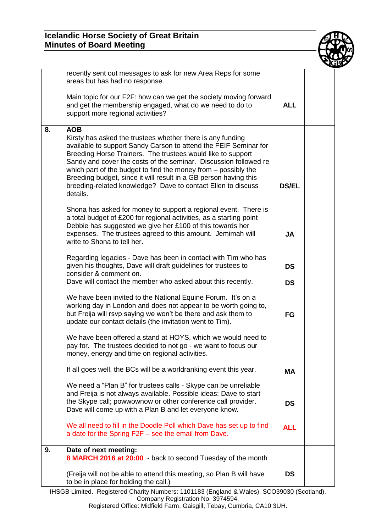## **Icelandic Horse Society of Great Britain Minutes of Board Meeting**



|    | recently sent out messages to ask for new Area Reps for some<br>areas but has had no response.                                                                                                                                                                                                                                                                                                                                                                                                    |                        |  |
|----|---------------------------------------------------------------------------------------------------------------------------------------------------------------------------------------------------------------------------------------------------------------------------------------------------------------------------------------------------------------------------------------------------------------------------------------------------------------------------------------------------|------------------------|--|
|    | Main topic for our F2F: how can we get the society moving forward<br>and get the membership engaged, what do we need to do to<br>support more regional activities?                                                                                                                                                                                                                                                                                                                                | <b>ALL</b>             |  |
| 8. | <b>AOB</b><br>Kirsty has asked the trustees whether there is any funding<br>available to support Sandy Carson to attend the FEIF Seminar for<br>Breeding Horse Trainers. The trustees would like to support<br>Sandy and cover the costs of the seminar. Discussion followed re<br>which part of the budget to find the money from – possibly the<br>Breeding budget, since it will result in a GB person having this<br>breeding-related knowledge? Dave to contact Ellen to discuss<br>details. | <b>DS/EL</b>           |  |
|    | Shona has asked for money to support a regional event. There is<br>a total budget of £200 for regional activities, as a starting point<br>Debbie has suggested we give her £100 of this towards her<br>expenses. The trustees agreed to this amount. Jemimah will<br>write to Shona to tell her.                                                                                                                                                                                                  | <b>JA</b>              |  |
|    | Regarding legacies - Dave has been in contact with Tim who has<br>given his thoughts, Dave will draft guidelines for trustees to<br>consider & comment on.<br>Dave will contact the member who asked about this recently.                                                                                                                                                                                                                                                                         | <b>DS</b><br><b>DS</b> |  |
|    | We have been invited to the National Equine Forum. It's on a<br>working day in London and does not appear to be worth going to,<br>but Freija will rsvp saying we won't be there and ask them to<br>update our contact details (the invitation went to Tim).                                                                                                                                                                                                                                      | FG                     |  |
|    | We have been offered a stand at HOYS, which we would need to<br>pay for. The trustees decided to not go - we want to focus our<br>money, energy and time on regional activities.                                                                                                                                                                                                                                                                                                                  |                        |  |
|    | If all goes well, the BCs will be a worldranking event this year.                                                                                                                                                                                                                                                                                                                                                                                                                                 | <b>MA</b>              |  |
|    | We need a "Plan B" for trustees calls - Skype can be unreliable<br>and Freija is not always available. Possible ideas: Dave to start<br>the Skype call; powwownow or other conference call provider.<br>Dave will come up with a Plan B and let everyone know.                                                                                                                                                                                                                                    | <b>DS</b>              |  |
|    | We all need to fill in the Doodle Poll which Dave has set up to find<br>a date for the Spring F2F - see the email from Dave.                                                                                                                                                                                                                                                                                                                                                                      | <b>ALL</b>             |  |
| 9. | Date of next meeting:<br>8 MARCH 2016 at 20:00 - back to second Tuesday of the month                                                                                                                                                                                                                                                                                                                                                                                                              |                        |  |
|    | (Freija will not be able to attend this meeting, so Plan B will have<br>to be in place for holding the call.)                                                                                                                                                                                                                                                                                                                                                                                     | <b>DS</b>              |  |

IHSGB Limited. Registered Charity Numbers: 1101183 (England & Wales), SCO39030 (Scotland). Company Registration No. 3974594.

Registered Office: Midfield Farm, Gaisgill, Tebay, Cumbria, CA10 3UH.